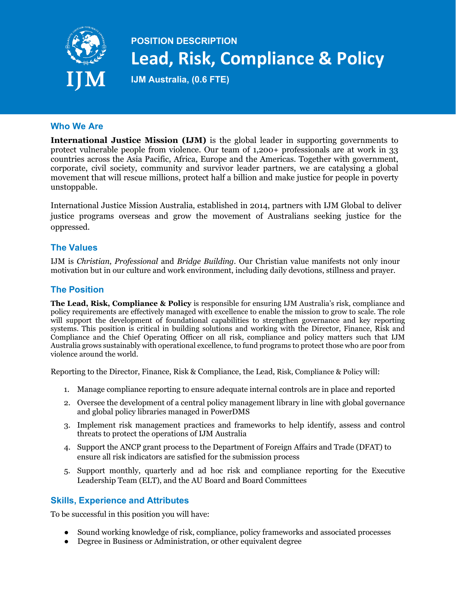

# **POSITION DESCRIPTION Lead, Risk, Compliance & Policy**

**IJM Australia, (0.6 FTE)**

#### **Who We Are**

**International Justice Mission (IJM)** is the global leader in supporting governments to protect vulnerable people from violence. Our team of 1,200+ professionals are at work in 33 countries across the Asia Pacific, Africa, Europe and the Americas. Together with government, corporate, civil society, community and survivor leader partners, we are catalysing a global movement that will rescue millions, protect half a billion and make justice for people in poverty unstoppable.

International Justice Mission Australia, established in 2014, partners with IJM Global to deliver justice programs overseas and grow the movement of Australians seeking justice for the oppressed.

## **The Values**

IJM is *Christian*, *Professional* and *Bridge Building*. Our Christian value manifests not only inour motivation but in our culture and work environment, including daily devotions, stillness and prayer.

# **The Position**

**The Lead, Risk, Compliance & Policy** is responsible for ensuring IJM Australia's risk, compliance and policy requirements are effectively managed with excellence to enable the mission to grow to scale. The role will support the development of foundational capabilities to strengthen governance and key reporting systems. This position is critical in building solutions and working with the Director, Finance, Risk and Compliance and the Chief Operating Officer on all risk, compliance and policy matters such that IJM Australia grows sustainably with operational excellence, to fund programs to protect those who are poor from violence around the world.

Reporting to the Director, Finance, Risk & Compliance, the Lead, Risk, Compliance & Policy will:

- 1. Manage compliance reporting to ensure adequate internal controls are in place and reported
- 2. Oversee the development of a central policy management library in line with global governance and global policy libraries managed in PowerDMS
- 3. Implement risk management practices and frameworks to help identify, assess and control threats to protect the operations of IJM Australia
- 4. Support the ANCP grant process to the Department of Foreign Affairs and Trade (DFAT) to ensure all risk indicators are satisfied for the submission process
- 5. Support monthly, quarterly and ad hoc risk and compliance reporting for the Executive Leadership Team (ELT), and the AU Board and Board Committees

## **Skills, Experience and Attributes**

To be successful in this position you will have:

- Sound working knowledge of risk, compliance, policy frameworks and associated processes
- Degree in Business or Administration, or other equivalent degree